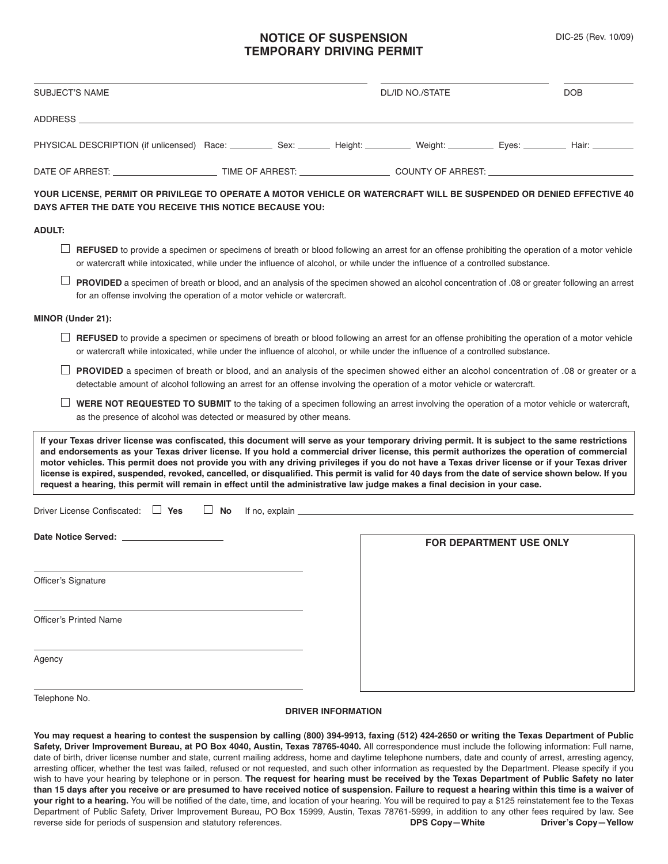### **NOTICE OF SUSPENSION TEMPORARY DRIVING PERMIT**

| <b>SUBJECT'S NAME</b>                                                                                                                                                                                                                                                                                                                                                                                                                                                                                                                                                                                                                                                                                                                |           |                           | <b>DL/ID NO./STATE</b>                                                                                                                                                                                                         |                                | <b>DOB</b> |
|--------------------------------------------------------------------------------------------------------------------------------------------------------------------------------------------------------------------------------------------------------------------------------------------------------------------------------------------------------------------------------------------------------------------------------------------------------------------------------------------------------------------------------------------------------------------------------------------------------------------------------------------------------------------------------------------------------------------------------------|-----------|---------------------------|--------------------------------------------------------------------------------------------------------------------------------------------------------------------------------------------------------------------------------|--------------------------------|------------|
| ADDRESS ADDRESS                                                                                                                                                                                                                                                                                                                                                                                                                                                                                                                                                                                                                                                                                                                      |           |                           |                                                                                                                                                                                                                                |                                |            |
| PHYSICAL DESCRIPTION (if unlicensed) Race: Sex: Neight: Neight: Weight: Neight: Neight: Neight: Hair: Neight: Neight: Neight: Neight: Neight: Neight: Neight: Neight: Neight: Neight: Neight: Neight: Neight: Neight: Neight:                                                                                                                                                                                                                                                                                                                                                                                                                                                                                                        |           |                           |                                                                                                                                                                                                                                |                                |            |
|                                                                                                                                                                                                                                                                                                                                                                                                                                                                                                                                                                                                                                                                                                                                      |           |                           |                                                                                                                                                                                                                                |                                |            |
| YOUR LICENSE, PERMIT OR PRIVILEGE TO OPERATE A MOTOR VEHICLE OR WATERCRAFT WILL BE SUSPENDED OR DENIED EFFECTIVE 40<br>DAYS AFTER THE DATE YOU RECEIVE THIS NOTICE BECAUSE YOU:                                                                                                                                                                                                                                                                                                                                                                                                                                                                                                                                                      |           |                           |                                                                                                                                                                                                                                |                                |            |
| <b>ADULT:</b>                                                                                                                                                                                                                                                                                                                                                                                                                                                                                                                                                                                                                                                                                                                        |           |                           |                                                                                                                                                                                                                                |                                |            |
| <b>REFUSED</b> to provide a specimen or specimens of breath or blood following an arrest for an offense prohibiting the operation of a motor vehicle<br>or watercraft while intoxicated, while under the influence of alcohol, or while under the influence of a controlled substance.                                                                                                                                                                                                                                                                                                                                                                                                                                               |           |                           |                                                                                                                                                                                                                                |                                |            |
| PROVIDED a specimen of breath or blood, and an analysis of the specimen showed an alcohol concentration of .08 or greater following an arrest<br>for an offense involving the operation of a motor vehicle or watercraft.                                                                                                                                                                                                                                                                                                                                                                                                                                                                                                            |           |                           |                                                                                                                                                                                                                                |                                |            |
| MINOR (Under 21):                                                                                                                                                                                                                                                                                                                                                                                                                                                                                                                                                                                                                                                                                                                    |           |                           |                                                                                                                                                                                                                                |                                |            |
| <b>REFUSED</b> to provide a specimen or specimens of breath or blood following an arrest for an offense prohibiting the operation of a motor vehicle<br>or watercraft while intoxicated, while under the influence of alcohol, or while under the influence of a controlled substance.                                                                                                                                                                                                                                                                                                                                                                                                                                               |           |                           |                                                                                                                                                                                                                                |                                |            |
| <b>PROVIDED</b> a specimen of breath or blood, and an analysis of the specimen showed either an alcohol concentration of 0.08 or greater or a<br>detectable amount of alcohol following an arrest for an offense involving the operation of a motor vehicle or watercraft.                                                                                                                                                                                                                                                                                                                                                                                                                                                           |           |                           |                                                                                                                                                                                                                                |                                |            |
| WERE NOT REQUESTED TO SUBMIT to the taking of a specimen following an arrest involving the operation of a motor vehicle or watercraft,<br>as the presence of alcohol was detected or measured by other means.                                                                                                                                                                                                                                                                                                                                                                                                                                                                                                                        |           |                           |                                                                                                                                                                                                                                |                                |            |
| If your Texas driver license was confiscated, this document will serve as your temporary driving permit. It is subject to the same restrictions<br>and endorsements as your Texas driver license. If you hold a commercial driver license, this permit authorizes the operation of commercial<br>motor vehicles. This permit does not provide you with any driving privileges if you do not have a Texas driver license or if your Texas driver<br>license is expired, suspended, revoked, cancelled, or disqualified. This permit is valid for 40 days from the date of service shown below. If you<br>request a hearing, this permit will remain in effect until the administrative law judge makes a final decision in your case. |           |                           |                                                                                                                                                                                                                                |                                |            |
| Driver License Confiscated: $\Box$ Yes                                                                                                                                                                                                                                                                                                                                                                                                                                                                                                                                                                                                                                                                                               | $\Box$ No |                           | If no, explain the state of the state of the state of the state of the state of the state of the state of the state of the state of the state of the state of the state of the state of the state of the state of the state of |                                |            |
| Date Notice Served: New York 1999                                                                                                                                                                                                                                                                                                                                                                                                                                                                                                                                                                                                                                                                                                    |           |                           |                                                                                                                                                                                                                                | <b>FOR DEPARTMENT USE ONLY</b> |            |
| Officer's Signature                                                                                                                                                                                                                                                                                                                                                                                                                                                                                                                                                                                                                                                                                                                  |           |                           |                                                                                                                                                                                                                                |                                |            |
| <b>Officer's Printed Name</b>                                                                                                                                                                                                                                                                                                                                                                                                                                                                                                                                                                                                                                                                                                        |           |                           |                                                                                                                                                                                                                                |                                |            |
| Agency                                                                                                                                                                                                                                                                                                                                                                                                                                                                                                                                                                                                                                                                                                                               |           |                           |                                                                                                                                                                                                                                |                                |            |
| Telephone No.                                                                                                                                                                                                                                                                                                                                                                                                                                                                                                                                                                                                                                                                                                                        |           | <b>DRIVER INFORMATION</b> |                                                                                                                                                                                                                                |                                |            |
| You may request a hearing to contest the suspension by calling (800) 394-9913, faxing (512) 424-2650 or writing the Texas Department of Public                                                                                                                                                                                                                                                                                                                                                                                                                                                                                                                                                                                       |           |                           |                                                                                                                                                                                                                                |                                |            |

**Safety, Driver Improvement Bureau, at PO Box 4040, Austin, Texas 78765-4040.** All correspondence must include the following information: Full name, date of birth, driver license number and state, current mailing address, home and daytime telephone numbers, date and county of arrest, arresting agency, arresting officer, whether the test was failed, refused or not requested, and such other information as requested by the Department. Please specify if you wish to have your hearing by telephone or in person. The request for hearing must be received by the Texas Department of Public Safety no later than 15 days after you receive or are presumed to have received notice of suspension. Failure to request a hearing within this time is a waiver of **your right to a hearing.** You will be notified of the date, time, and location of your hearing. You will be required to pay a \$125 reinstatement fee to the Texas Department of Public Safety, Driver Improvement Bureau, PO Box 15999, Austin, Texas 78761-5999, in addition to any other fees required by law. See<br>DPS Copy-White Driver's Copy-Yellow reverse side for periods of suspension and statutory references.